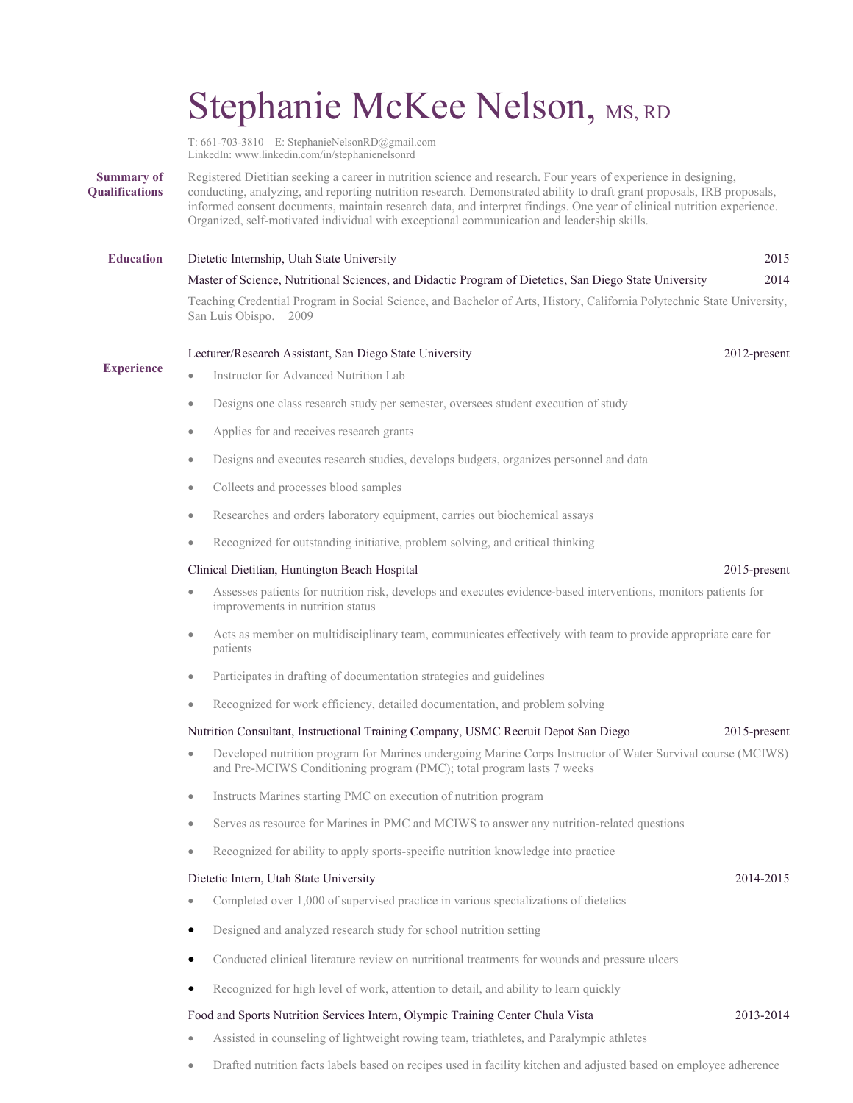# Stephanie McKee Nelson, MS, RD

T: 661-703-3810 E: StephanieNelsonRD@gmail.com LinkedIn: www.linkedin.com/in/stephanienelsonrd

#### **Summary of Qualifications** Registered Dietitian seeking a career in nutrition science and research. Four years of experience in designing, conducting, analyzing, and reporting nutrition research. Demonstrated ability to draft grant proposals, IRB proposals, informed consent documents, maintain research data, and interpret findings. One year of clinical nutrition experience. Organized, self-motivated individual with exceptional communication and leadership skills.

**Education** Dietetic Internship, Utah State University 2015

Master of Science, Nutritional Sciences, and Didactic Program of Dietetics, San Diego State University 2014 Teaching Credential Program in Social Science, and Bachelor of Arts, History, California Polytechnic State University,

San Luis Obispo. 2009

## Lecturer/Research Assistant, San Diego State University 2012-present

Instructor for Advanced Nutrition Lab

# **Experience**

- Designs one class research study per semester, oversees student execution of study
- Applies for and receives research grants
- Designs and executes research studies, develops budgets, organizes personnel and data
- Collects and processes blood samples
- Researches and orders laboratory equipment, carries out biochemical assays
- Recognized for outstanding initiative, problem solving, and critical thinking

## Clinical Dietitian, Huntington Beach Hospital 2015-present

- Assesses patients for nutrition risk, develops and executes evidence-based interventions, monitors patients for improvements in nutrition status
- Acts as member on multidisciplinary team, communicates effectively with team to provide appropriate care for patients
- Participates in drafting of documentation strategies and guidelines
- Recognized for work efficiency, detailed documentation, and problem solving

## Nutrition Consultant, Instructional Training Company, USMC Recruit Depot San Diego 2015-present

- Developed nutrition program for Marines undergoing Marine Corps Instructor of Water Survival course (MCIWS) and Pre-MCIWS Conditioning program (PMC); total program lasts 7 weeks
- Instructs Marines starting PMC on execution of nutrition program
- Serves as resource for Marines in PMC and MCIWS to answer any nutrition-related questions
- Recognized for ability to apply sports-specific nutrition knowledge into practice

#### Dietetic Intern, Utah State University 2014-2015

- Completed over 1,000 of supervised practice in various specializations of dietetics
- Designed and analyzed research study for school nutrition setting
- Conducted clinical literature review on nutritional treatments for wounds and pressure ulcers
- Recognized for high level of work, attention to detail, and ability to learn quickly

## Food and Sports Nutrition Services Intern, Olympic Training Center Chula Vista 2013-2014

- Assisted in counseling of lightweight rowing team, triathletes, and Paralympic athletes
- Drafted nutrition facts labels based on recipes used in facility kitchen and adjusted based on employee adherence